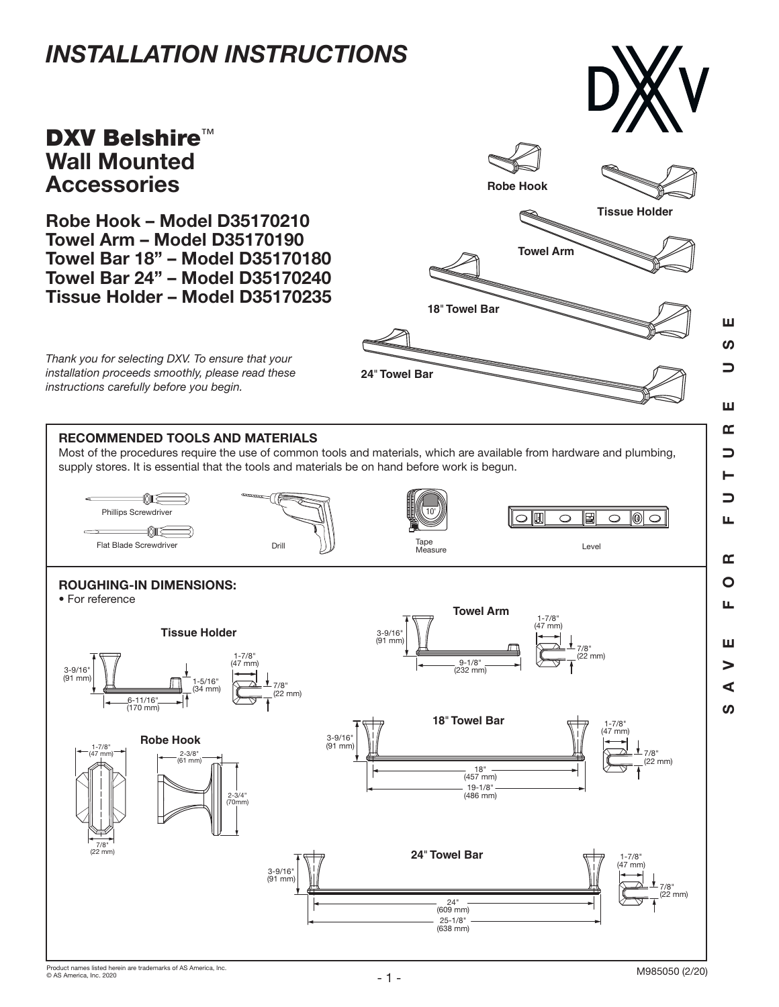# *INSTALLATION INSTRUCTIONS*

## **DXV Belshire™** Wall Mounted **Accessories**

Robe Hook – Model D35170210 Towel Arm – Model D35170190 Towel Bar 18" – Model D35170180 Towel Bar 24" – Model D35170240 Tissue Holder – Model D35170235



*Thank you for selecting DXV. To ensure that your installation proceeds smoothly, please read these instructions carefully before you begin.*

### RECOMMENDED TOOLS AND MATERIALS

Most of the procedures require the use of common tools and materials, which are available from hardware and plumbing, supply stores. It is essential that the tools and materials be on hand before work is begun.



SAVE FOR FUTURE USE

Щ

 $\mathbf{r}$  $\overline{O}$ LL.

Ш  $\geq$  $\blacktriangleleft$  $\boldsymbol{\omega}$ 

Ш ທ  $\overline{\phantom{0}}$ 

Ш œ  $\Box$ ►  $\Box$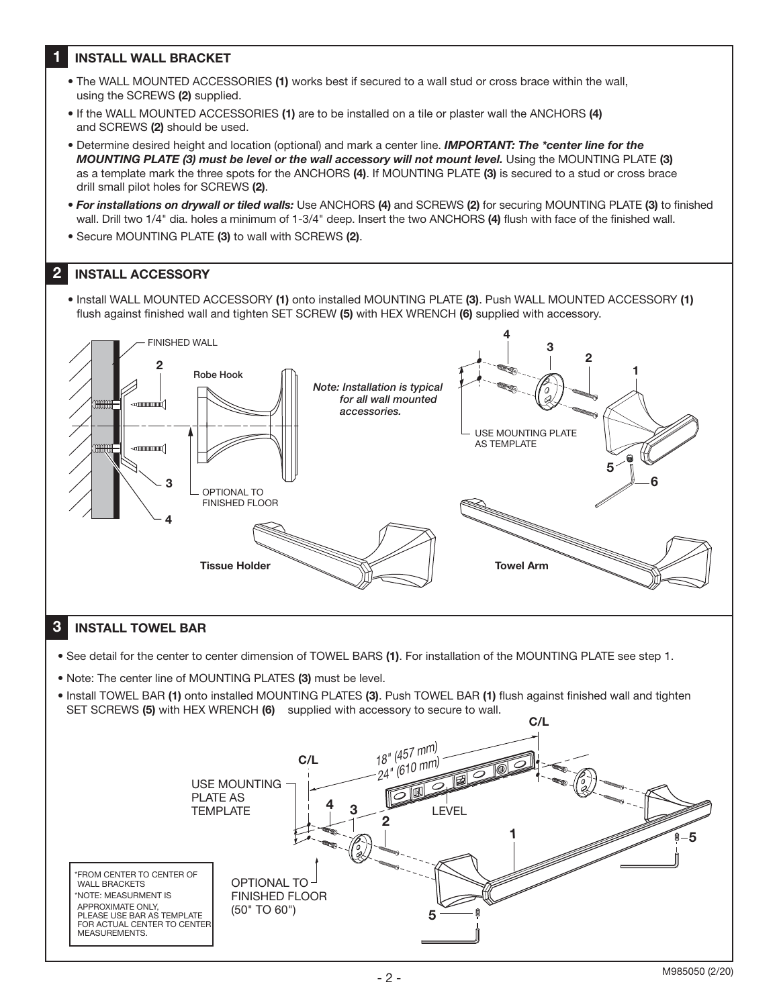#### 1 INSTALL WALL BRACKET

- The WALL MOUNTED ACCESSORIES (1) works best if secured to a wall stud or cross brace within the wall, using the SCREWS (2) supplied.
- If the WALL MOUNTED ACCESSORIES (1) are to be installed on a tile or plaster wall the ANCHORS (4) and SCREWS (2) should be used.
- Determine desired height and location (optional) and mark a center line. *IMPORTANT: The \*center line for the MOUNTING PLATE (3) must be level or the wall accessory will not mount level.* Using the MOUNTING PLATE (3) as a template mark the three spots for the ANCHORS (4). If MOUNTING PLATE (3) is secured to a stud or cross brace drill small pilot holes for SCREWS (2).
- *For installations on drywall or tiled walls:* Use ANCHORS (4) and SCREWS (2) for securing MOUNTING PLATE (3) to finished wall. Drill two 1/4" dia. holes a minimum of 1-3/4" deep. Insert the two ANCHORS (4) flush with face of the finished wall.
- Secure MOUNTING PLATE (3) to wall with SCREWS (2).

#### 2 INSTALL ACCESSORY

• Install WALL MOUNTED ACCESSORY (1) onto installed MOUNTING PLATE (3). Push WALL MOUNTED ACCESSORY (1) flush against finished wall and tighten SET SCREW (5) with HEX WRENCH (6) supplied with accessory.



#### 3 INSTALL TOWEL BAR

- See detail for the center to center dimension of TOWEL BARS (1). For installation of the MOUNTING PLATE see step 1.
- Note: The center line of MOUNTING PLATES (3) must be level.
- Install TOWEL BAR (1) onto installed MOUNTING PLATES (3). Push TOWEL BAR (1) flush against finished wall and tighten SET SCREWS (5) with HEX WRENCH (6) supplied with accessory to secure to wall.